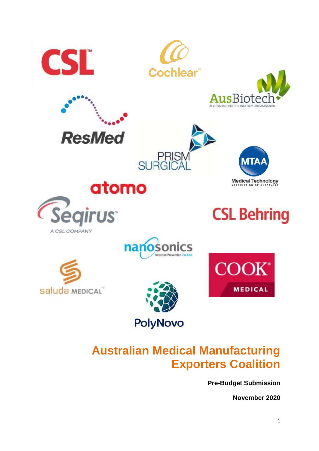







**ResMed** 



**CSL Behring** 



PRIS<br>SURGIC







# **Australian Medical Manufacturing Exporters Coalition**

**Pre-Budget Submission**

**November 2020**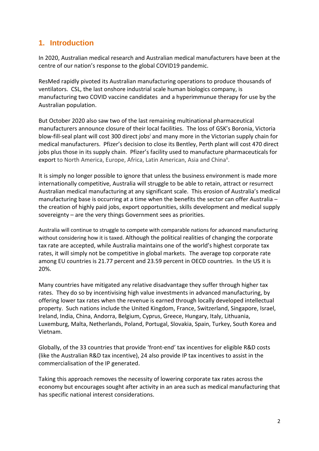## **1. Introduction**

In 2020, Australian medical research and Australian medical manufacturers have been at the centre of our nation's response to the global COVID19 pandemic.

ResMed rapidly pivoted its Australian manufacturing operations to produce thousands of ventilators. CSL, the last onshore industrial scale human biologics company, is manufacturing two COVID vaccine candidates and a hyperimmunue therapy for use by the Australian population.

But October 2020 also saw two of the last remaining multinational pharmaceutical manufacturers announce closure of their local facilities. The loss of GSK's Boronia, Victoria blow-fill-seal plant will cost 300 direct jobs<sup>i</sup> and many more in the Victorian supply chain for medical manufacturers. Pfizer's decision to close its Bentley, Perth plant will cost 470 direct jobs plus those in its supply chain. Pfizer's facility used to manufacture pharmaceuticals for export to North America, Europe, Africa, Latin American, Asia and China<sup>ii</sup>.

It is simply no longer possible to ignore that unless the business environment is made more internationally competitive, Australia will struggle to be able to retain, attract or resurrect Australian medical manufacturing at any significant scale. This erosion of Australia's medical manufacturing base is occurring at a time when the benefits the sector can offer Australia – the creation of highly paid jobs, export opportunities, skills development and medical supply sovereignty – are the very things Government sees as priorities.

Australia will continue to struggle to compete with comparable nations for advanced manufacturing without considering how it is taxed. Although the political realities of changing the corporate tax rate are accepted, while Australia maintains one of the world's highest corporate tax rates, it will simply not be competitive in global markets. The average top corporate rate among EU countries is 21.77 percent and 23.59 percent in OECD countries. In the US it is 20%.

Many countries have mitigated any relative disadvantage they suffer through higher tax rates. They do so by incentivising high value investments in advanced manufacturing, by offering lower tax rates when the revenue is earned through locally developed intellectual property. Such nations include the United Kingdom, France, Switzerland, Singapore, Israel, Ireland, India, China, Andorra, Belgium, Cyprus, Greece, Hungary, Italy, Lithuania, Luxemburg, Malta, Netherlands, Poland, Portugal, Slovakia, Spain, Turkey, South Korea and Vietnam.

Globally, of the 33 countries that provide 'front-end' tax incentives for eligible R&D costs (like the Australian R&D tax incentive), 24 also provide IP tax incentives to assist in the commercialisation of the IP generated.

Taking this approach removes the necessity of lowering corporate tax rates across the economy but encourages sought after activity in an area such as medical manufacturing that has specific national interest considerations.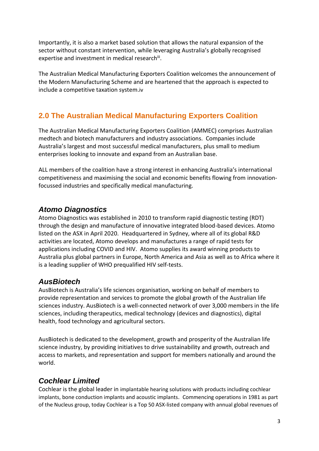Importantly, it is also a market based solution that allows the natural expansion of the sector without constant intervention, while leveraging Australia's globally recognised expertise and investment in medical researchii.

The Australian Medical Manufacturing Exporters Coalition welcomes the announcement of the Modern Manufacturing Scheme and are heartened that the approach is expected to include a competitive taxation system.iv

# **2.0 The Australian Medical Manufacturing Exporters Coalition**

The Australian Medical Manufacturing Exporters Coalition (AMMEC) comprises Australian medtech and biotech manufacturers and industry associations. Companies include Australia's largest and most successful medical manufacturers, plus small to medium enterprises looking to innovate and expand from an Australian base.

ALL members of the coalition have a strong interest in enhancing Australia's international competitiveness and maximising the social and economic benefits flowing from innovationfocussed industries and specifically medical manufacturing.

#### *Atomo Diagnostics*

Atomo Diagnostics was established in 2010 to transform rapid diagnostic testing (RDT) through the design and manufacture of innovative integrated blood-based devices. Atomo listed on the ASX in April 2020. Headquartered in Sydney, where all of its global R&D activities are located, Atomo develops and manufactures a range of rapid tests for applications including COVID and HIV. Atomo supplies its award winning products to Australia plus global partners in Europe, North America and Asia as well as to Africa where it is a leading supplier of WHO prequalified HIV self-tests.

#### *AusBiotech*

AusBiotech is Australia's life sciences organisation, working on behalf of members to provide representation and services to promote the global growth of the Australian life sciences industry. AusBiotech is a well-connected network of over 3,000 members in the life sciences, including therapeutics, medical technology (devices and diagnostics), digital health, food technology and agricultural sectors.

AusBiotech is dedicated to the development, growth and prosperity of the Australian life science industry, by providing initiatives to drive sustainability and growth, outreach and access to markets, and representation and support for members nationally and around the world.

## *Cochlear Limited*

Cochlear is the global leader in implantable hearing solutions with products including cochlear implants, bone conduction implants and acoustic implants. Commencing operations in 1981 as part of the Nucleus group, today Cochlear is a Top 50 ASX-listed company with annual global revenues of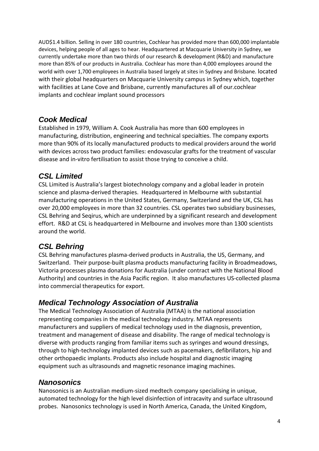AUD\$1.4 billion. Selling in over 180 countries, Cochlear has provided more than 600,000 implantable devices, helping people of all ages to hear. Headquartered at Macquarie University in Sydney, we currently undertake more than two thirds of our research & development (R&D) and manufacture more than 85% of our products in Australia. Cochlear has more than 4,000 employees around the world with over 1,700 employees in Australia based largely at sites in Sydney and Brisbane. located with their global headquarters on Macquarie University campus in Sydney which, together with facilities at Lane Cove and Brisbane, currently manufactures all of our.cochlear implants and cochlear implant sound processors

#### *Cook Medical*

Established in 1979, William A. Cook Australia has more than 600 employees in manufacturing, distribution, engineering and technical specialties. The company exports more than 90% of its locally manufactured products to medical providers around the world with devices across two product families: endovascular grafts for the treatment of vascular disease and in-vitro fertilisation to assist those trying to conceive a child.

#### *CSL Limited*

CSL Limited is Australia's largest biotechnology company and a global leader in protein science and plasma-derived therapies. Headquartered in Melbourne with substantial manufacturing operations in the United States, Germany, Switzerland and the UK, CSL has over 20,000 employees in more than 32 countries. CSL operates two subsidiary businesses, CSL Behring and Seqirus, which are underpinned by a significant research and development effort. R&D at CSL is headquartered in Melbourne and involves more than 1300 scientists around the world.

## *CSL Behring*

CSL Behring manufactures plasma-derived products in Australia, the US, Germany, and Switzerland. Their purpose-built plasma products manufacturing facility in Broadmeadows, Victoria processes plasma donations for Australia (under contract with the National Blood Authority) and countries in the Asia Pacific region. It also manufactures US-collected plasma into commercial therapeutics for export.

#### *Medical Technology Association of Australia*

The Medical Technology Association of Australia (MTAA) is the national association representing companies in the medical technology industry. MTAA represents manufacturers and suppliers of medical technology used in the diagnosis, prevention, treatment and management of disease and disability. The range of medical technology is diverse with products ranging from familiar items such as syringes and wound dressings, through to high-technology implanted devices such as pacemakers, defibrillators, hip and other orthopaedic implants. Products also include hospital and diagnostic imaging equipment such as ultrasounds and magnetic resonance imaging machines.

## *Nanosonics*

Nanosonics is an Australian medium-sized medtech company specialising in unique, automated technology for the high level disinfection of intracavity and surface ultrasound probes. Nanosonics technology is used in North America, Canada, the United Kingdom,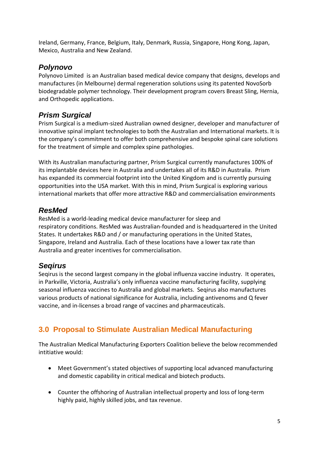Ireland, Germany, France, Belgium, Italy, Denmark, Russia, Singapore, Hong Kong, Japan, Mexico, Australia and New Zealand.

#### *Polynovo*

Polynovo Limited is an Australian based medical device company that designs, develops and manufactures (in Melbourne) dermal regeneration solutions using its patented NovoSorb biodegradable polymer technology. Their development program covers Breast Sling, Hernia, and Orthopedic applications.

#### *Prism Surgical*

Prism Surgical is a medium-sized Australian owned designer, developer and manufacturer of innovative spinal implant technologies to both the Australian and International markets. It is the company's commitment to offer both comprehensive and bespoke spinal care solutions for the treatment of simple and complex spine pathologies.

With its Australian manufacturing partner, Prism Surgical currently manufactures 100% of its implantable devices here in Australia and undertakes all of its R&D in Australia. Prism has expanded its commercial footprint into the United Kingdom and is currently pursuing opportunities into the USA market. With this in mind, Prism Surgical is exploring various international markets that offer more attractive R&D and commercialisation environments

#### *ResMed*

ResMed is a world-leading medical device manufacturer for sleep and respiratory conditions. ResMed was Australian-founded and is headquartered in the United States. It undertakes R&D and / or manufacturing operations in the United States, Singapore, Ireland and Australia. Each of these locations have a lower tax rate than Australia and greater incentives for commercialisation.

#### *Seqirus*

Seqirus is the second largest company in the global influenza vaccine industry. It operates, in Parkville, Victoria, Australia's only influenza vaccine manufacturing facility, supplying seasonal influenza vaccines to Australia and global markets. Seqirus also manufactures various products of national significance for Australia, including antivenoms and Q fever vaccine, and in-licenses a broad range of vaccines and pharmaceuticals.

# **3.0 Proposal to Stimulate Australian Medical Manufacturing**

The Australian Medical Manufacturing Exporters Coalition believe the below recommended intitiative would:

- Meet Government's stated objectives of supporting local advanced manufacturing and domestic capability in critical medical and biotech products.
- Counter the offshoring of Australian intellectual property and loss of long-term highly paid, highly skilled jobs, and tax revenue.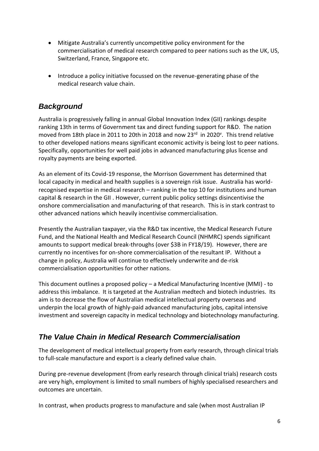- Mitigate Australia's currently uncompetitive policy environment for the commercialisation of medical research compared to peer nations such as the UK, US, Switzerland, France, Singapore etc.
- Introduce a policy initiative focussed on the revenue-generating phase of the medical research value chain.

#### *Background*

Australia is progressively falling in annual Global Innovation Index (GII) rankings despite ranking 13th in terms of Government tax and direct funding support for R&D. The nation moved from 18th place in 2011 to 20th in 2018 and now 23<sup>rd</sup> in 2020<sup>v</sup>. This trend relative to other developed nations means significant economic activity is being lost to peer nations. Specifically, opportunities for well paid jobs in advanced manufacturing plus license and royalty payments are being exported.

As an element of its Covid-19 response, the Morrison Government has determined that local capacity in medical and health supplies is a sovereign risk issue. Australia has worldrecognised expertise in medical research – ranking in the top 10 for institutions and human capital & research in the GII . However, current public policy settings disincentivise the onshore commercialisation and manufacturing of that research. This is in stark contrast to other advanced nations which heavily incentivise commercialisation.

Presently the Australian taxpayer, via the R&D tax incentive, the Medical Research Future Fund, and the National Health and Medical Research Council (NHMRC) spends significant amounts to support medical break-throughs (over \$3B in FY18/19). However, there are currently no incentives for on-shore commercialisation of the resultant IP. Without a change in policy, Australia will continue to effectively underwrite and de-risk commercialisation opportunities for other nations.

This document outlines a proposed policy – a Medical Manufacturing Incentive (MMI) - to address this imbalance. It is targeted at the Australian medtech and biotech industries. Its aim is to decrease the flow of Australian medical intellectual property overseas and underpin the local growth of highly-paid advanced manufacturing jobs, capital intensive investment and sovereign capacity in medical technology and biotechnology manufacturing.

#### *The Value Chain in Medical Research Commercialisation*

The development of medical intellectual property from early research, through clinical trials to full-scale manufacture and export is a clearly defined value chain.

During pre-revenue development (from early research through clinical trials) research costs are very high, employment is limited to small numbers of highly specialised researchers and outcomes are uncertain.

In contrast, when products progress to manufacture and sale (when most Australian IP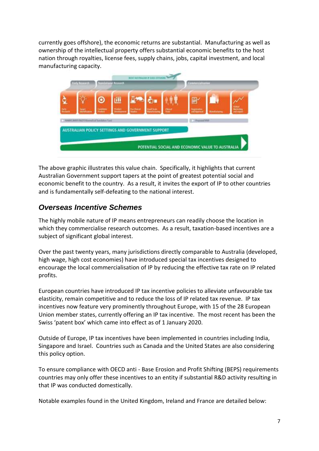currently goes offshore), the economic returns are substantial. Manufacturing as well as ownership of the intellectual property offers substantial economic benefits to the host nation through royalties, license fees, supply chains, jobs, capital investment, and local manufacturing capacity.



The above graphic illustrates this value chain. Specifically, it highlights that current Australian Government support tapers at the point of greatest potential social and economic benefit to the country. As a result, it invites the export of IP to other countries and is fundamentally self-defeating to the national interest.

#### *Overseas Incentive Schemes*

The highly mobile nature of IP means entrepreneurs can readily choose the location in which they commercialise research outcomes. As a result, taxation-based incentives are a subject of significant global interest.

Over the past twenty years, many jurisdictions directly comparable to Australia (developed, high wage, high cost economies) have introduced special tax incentives designed to encourage the local commercialisation of IP by reducing the effective tax rate on IP related profits.

European countries have introduced IP tax incentive policies to alleviate unfavourable tax elasticity, remain competitive and to reduce the loss of IP related tax revenue. IP tax incentives now feature very prominently throughout Europe, with 15 of the 28 European Union member states, currently offering an IP tax incentive. The most recent has been the Swiss 'patent box' which came into effect as of 1 January 2020.

Outside of Europe, IP tax incentives have been implemented in countries including India, Singapore and Israel. Countries such as Canada and the United States are also considering this policy option.

To ensure compliance with OECD anti - Base Erosion and Profit Shifting (BEPS) requirements countries may only offer these incentives to an entity if substantial R&D activity resulting in that IP was conducted domestically.

Notable examples found in the United Kingdom, Ireland and France are detailed below: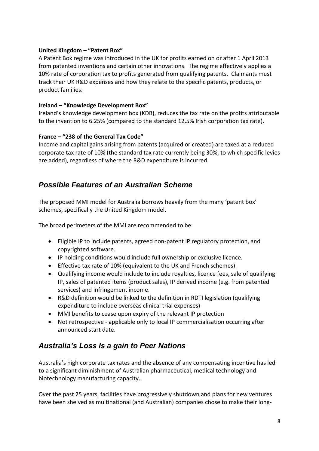#### **United Kingdom – "Patent Box"**

A Patent Box regime was introduced in the UK for profits earned on or after 1 April 2013 from patented inventions and certain other innovations. The regime effectively applies a 10% rate of corporation tax to profits generated from qualifying patents. Claimants must track their UK R&D expenses and how they relate to the specific patents, products, or product families.

#### **Ireland – "Knowledge Development Box"**

Ireland's knowledge development box (KDB), reduces the tax rate on the profits attributable to the invention to 6.25% (compared to the standard 12.5% Irish corporation tax rate).

#### **France – "238 of the General Tax Code"**

Income and capital gains arising from patents (acquired or created) are taxed at a reduced corporate tax rate of 10% (the standard tax rate currently being 30%, to which specific levies are added), regardless of where the R&D expenditure is incurred.

#### *Possible Features of an Australian Scheme*

The proposed MMI model for Australia borrows heavily from the many 'patent box' schemes, specifically the United Kingdom model.

The broad perimeters of the MMI are recommended to be:

- Eligible IP to include patents, agreed non-patent IP regulatory protection, and copyrighted software.
- IP holding conditions would include full ownership or exclusive licence.
- Effective tax rate of 10% (equivalent to the UK and French schemes).
- Qualifying income would include to include royalties, licence fees, sale of qualifying IP, sales of patented items (product sales), IP derived income (e.g. from patented services) and infringement income.
- R&D definition would be linked to the definition in RDTI legislation (qualifying expenditure to include overseas clinical trial expenses)
- MMI benefits to cease upon expiry of the relevant IP protection
- Not retrospective applicable only to local IP commercialisation occurring after announced start date.

## *Australia's Loss is a gain to Peer Nations*

Australia's high corporate tax rates and the absence of any compensating incentive has led to a significant diminishment of Australian pharmaceutical, medical technology and biotechnology manufacturing capacity.

Over the past 25 years, facilities have progressively shutdown and plans for new ventures have been shelved as multinational (and Australian) companies chose to make their long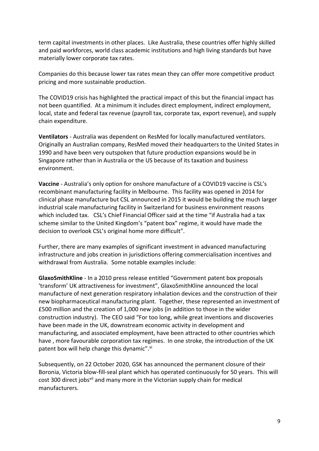term capital investments in other places. Like Australia, these countries offer highly skilled and paid workforces, world class academic institutions and high living standards but have materially lower corporate tax rates.

Companies do this because lower tax rates mean they can offer more competitive product pricing and more sustainable production.

The COVID19 crisis has highlighted the practical impact of this but the financial impact has not been quantified. At a minimum it includes direct employment, indirect employment, local, state and federal tax revenue (payroll tax, corporate tax, export revenue), and supply chain expenditure.

**Ventilators** - Australia was dependent on ResMed for locally manufactured ventilators. Originally an Australian company, ResMed moved their headquarters to the United States in 1990 and have been very outspoken that future production expansions would be in Singapore rather than in Australia or the US because of its taxation and business environment.

**Vaccine** - Australia's only option for onshore manufacture of a COVID19 vaccine is CSL's recombinant manufacturing facility in Melbourne. This facility was opened in 2014 for clinical phase manufacture but CSL announced in 2015 it would be building the much larger industrial scale manufacturing facility in Switzerland for business environment reasons which included tax. CSL's Chief Financial Officer said at the time "if Australia had a tax scheme similar to the United Kingdom's "patent box" regime, it would have made the decision to overlook CSL's original home more difficult".

Further, there are many examples of significant investment in advanced manufacturing infrastructure and jobs creation in jurisdictions offering commercialisation incentives and withdrawal from Australia. Some notable examples include:

**GlaxoSmithKline** - In a 2010 press release entitled "Government patent box proposals 'transform' UK attractiveness for investment", GlaxoSmithKline announced the local manufacture of next generation respiratory inhalation devices and the construction of their new biopharmaceutical manufacturing plant. Together, these represented an investment of £500 million and the creation of 1,000 new jobs (in addition to those in the wider construction industry). The CEO said "For too long, while great inventions and discoveries have been made in the UK, downstream economic activity in development and manufacturing, and associated employment, have been attracted to other countries which have , more favourable corporation tax regimes. In one stroke, the introduction of the UK patent box will help change this dynamic".<sup>vi</sup>

Subsequently, on 22 October 2020, GSK has announced the permanent closure of their Boronia, Victoria blow-fill-seal plant which has operated continuously for 50 years. This will cost 300 direct jobs<sup>vii</sup> and many more in the Victorian supply chain for medical manufacturers.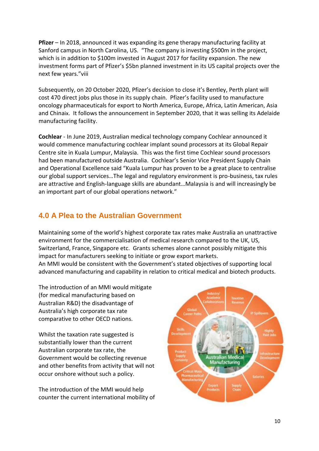**Pfizer** – In 2018, announced it was expanding its gene therapy manufacturing facility at Sanford campus in North Carolina, US. "The company is investing \$500m in the project, which is in addition to \$100m invested in August 2017 for facility expansion. The new investment forms part of Pfizer's \$5bn planned investment in its US capital projects over the next few years."viii

Subsequently, on 20 October 2020, Pfizer's decision to close it's Bentley, Perth plant will cost 470 direct jobs plus those in its supply chain. Pfizer's facility used to manufacture oncology pharmaceuticals for export to North America, Europe, Africa, Latin American, Asia and Chinaix. It follows the announcement in September 2020, that it was selling its Adelaide manufacturing facility.

**Cochlear** - In June 2019, Australian medical technology company Cochlear announced it would commence manufacturing cochlear implant sound processors at its Global Repair Centre site in Kuala Lumpur, Malaysia. This was the first time Cochlear sound processors had been manufactured outside Australia. Cochlear's Senior Vice President Supply Chain and Operational Excellence said "Kuala Lumpur has proven to be a great place to centralise our global support services…The legal and regulatory environment is pro-business, tax rules are attractive and English-language skills are abundant…Malaysia is and will increasingly be an important part of our global operations network."

#### **4.0 A Plea to the Australian Government**

Maintaining some of the world's highest corporate tax rates make Australia an unattractive environment for the commercialisation of medical research compared to the UK, US, Switzerland, France, Singapore etc. Grants schemes alone cannot possibly mitigate this impact for manufacturers seeking to initiate or grow export markets. An MMI would be consistent with the Government's stated objectives of supporting local advanced manufacturing and capability in relation to critical medical and biotech products.

The introduction of an MMI would mitigate (for medical manufacturing based on Australian R&D) the disadvantage of Australia's high corporate tax rate comparative to other OECD nations.

Whilst the taxation rate suggested is substantially lower than the current Australian corporate tax rate, the Government would be collecting revenue and other benefits from activity that will not occur onshore without such a policy.

The introduction of the MMI would help counter the current international mobility of